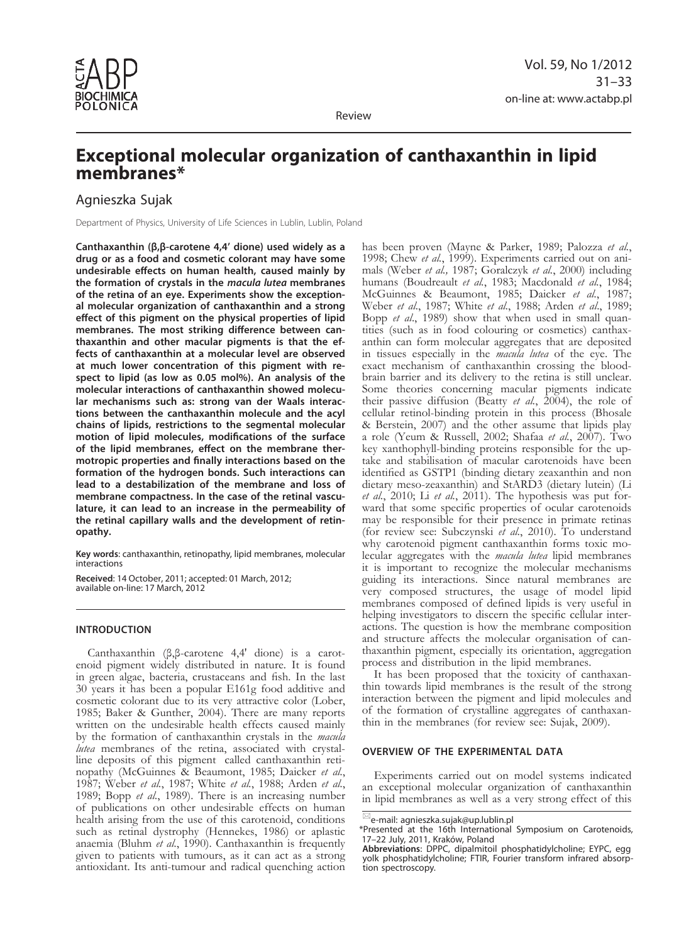

Review

# **Exceptional molecular organization of canthaxanthin in lipid membranes\***

## Agnieszka Sujak

Department of Physics, University of Life Sciences in Lublin, Lublin, Poland

**Canthaxanthin (β,β-carotene 4,4' dione) used widely as a drug or as a food and cosmetic colorant may have some undesirable effects on human health, caused mainly by the formation of crystals in the** *macula lutea* **membranes of the retina of an eye. Experiments show the exceptional molecular organization of canthaxanthin and a strong effect of this pigment on the physical properties of lipid membranes. The most striking difference between canthaxanthin and other macular pigments is that the effects of canthaxanthin at a molecular level are observed at much lower concentration of this pigment with respect to lipid (as low as 0.05 mol%). An analysis of the molecular interactions of canthaxanthin showed molecular mechanisms such as: strong van der Waals interactions between the canthaxanthin molecule and the acyl chains of lipids, restrictions to the segmental molecular motion of lipid molecules, modifications of the surface of the lipid membranes, effect on the membrane thermotropic properties and finally interactions based on the formation of the hydrogen bonds. Such interactions can lead to a destabilization of the membrane and loss of membrane compactness. In the case of the retinal vasculature, it can lead to an increase in the permeability of the retinal capillary walls and the development of retinopathy.** 

**Key words**: canthaxanthin, retinopathy, lipid membranes, molecular interactions

**Received**: 14 October, 2011; accepted: 01 March, 2012; available on-line: 17 March, 2012

## **Introduction**

Canthaxanthin (β,β-carotene 4,4' dione) is a carotenoid pigment widely distributed in nature. It is found in green algae, bacteria, crustaceans and fish. In the last 30 years it has been a popular E161g food additive and cosmetic colorant due to its very attractive color (Lober, 1985; Baker & Gunther, 2004). There are many reports written on the undesirable health effects caused mainly by the formation of canthaxanthin crystals in the *macula line* deposits of this pigment called canthaxanthin retinopathy (McGuinnes & Beaumont, 1985; Daicker *et al.*, 1987; Weber *et al.*, 1987; White *et al.*, 1988; Arden *et al.*, 1989; Bopp *et al.*, 1989). There is an increasing number of publications on other undesirable effects on human health arising from the use of this carotenoid, conditions such as retinal dystrophy (Hennekes, 1986) or aplastic anaemia (Bluhm *et al.*, 1990). Canthaxanthin is frequently given to patients with tumours, as it can act as a strong antioxidant. Its anti-tumour and radical quenching action

has been proven (Mayne & Parker, 1989; Palozza *et al.*, 1998; Chew *et al.*, 1999). Experiments carried out on animals (Weber *et al.,* 1987; Goralczyk *et al.*, 2000) including humans (Boudreault *et al.*, 1983; Macdonald *et al.*, 1984; McGuinnes & Beaumont, 1985; Daicker *et al.*, 1987; Weber *et al*., 1987; White *et al.*, 1988; Arden *et al*., 1989; Bopp *et al*., 1989) show that when used in small quantities (such as in food colouring or cosmetics) canthaxanthin can form molecular aggregates that are deposited in tissues especially in the *macula lutea* of the eye. The exact mechanism of canthaxanthin crossing the bloodbrain barrier and its delivery to the retina is still unclear. Some theories concerning macular pigments indicate their passive diffusion (Beatty *et al.*, 2004), the role of cellular retinol-binding protein in this process (Bhosale & Berstein, 2007) and the other assume that lipids play a role (Yeum & Russell, 2002; Shafaa *et al.*, 2007). Two key xanthophyll-binding proteins responsible for the uptake and stabilisation of macular carotenoids have been identified as GSTP1 (binding dietary zeaxanthin and non dietary meso-zeaxanthin) and StARD3 (dietary lutein) (Li et al., 2010; Li et al., 2011). The hypothesis was put forward that some specific properties of ocular carotenoids may be responsible for their presence in primate retinas (for review see: Subczynski *et al.*, 2010). To understand why carotenoid pigment canthaxanthin forms toxic mo- lecular aggregates with the *macula lutea* lipid membranes it is important to recognize the molecular mechanisms guiding its interactions. Since natural membranes are very composed structures, the usage of model lipid membranes composed of defined lipids is very useful in helping investigators to discern the specific cellular interactions. The question is how the membrane composition and structure affects the molecular organisation of canthaxanthin pigment, especially its orientation, aggregation process and distribution in the lipid membranes.

It has been proposed that the toxicity of canthaxanthin towards lipid membranes is the result of the strong interaction between the pigment and lipid molecules and of the formation of crystalline aggregates of canthaxanthin in the membranes (for review see: Sujak, 2009).

### **Overview of the experimental data**

Experiments carried out on model systems indicated an exceptional molecular organization of canthaxanthin in lipid membranes as well as a very strong effect of this

 $^{\text{\tiny{\textregistered}}}$ e-mail: agnieszka.sujak@up.lublin.pl

<sup>\*</sup>Presented at the 16th International Symposium on Carotenoids, 17–22 July, 2011, Kraków, Poland

**Abbreviations**: DPPC, dipalmitoil phosphatidylcholine; EYPC, egg yolk phosphatidylcholine; FTIR, Fourier transform infrared absorption spectroscopy.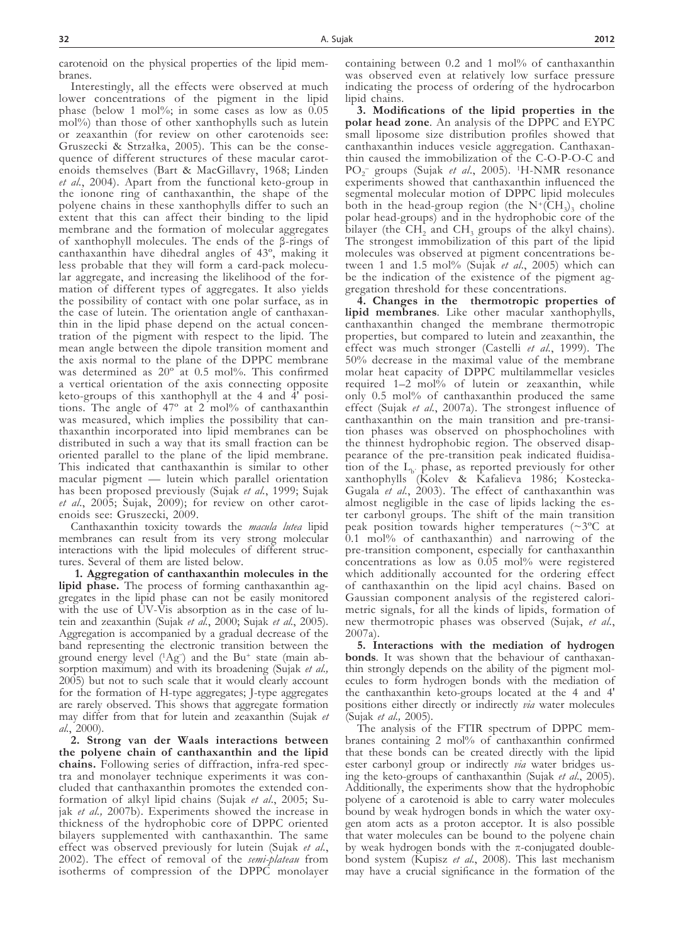carotenoid on the physical properties of the lipid membranes.

Interestingly, all the effects were observed at much lower concentrations of the pigment in the lipid phase (below 1 mol%; in some cases as low as 0.05 mol%) than those of other xanthophylls such as lutein or zeaxanthin (for review on other carotenoids see: Gruszecki & Strzałka, 2005). This can be the consequence of different structures of these macular carotenoids themselves (Bart & MacGillavry, 1968; Linden *et al.*, 2004). Apart from the functional keto-group in the ionone ring of canthaxanthin, the shape of the polyene chains in these xanthophylls differ to such an extent that this can affect their binding to the lipid membrane and the formation of molecular aggregates of xanthophyll molecules. The ends of the β-rings of canthaxanthin have dihedral angles of 43º, making it less probable that they will form a card-pack molecu- lar aggregate, and increasing the likelihood of the for- mation of different types of aggregates. It also yields the possibility of contact with one polar surface, as in the case of lutein. The orientation angle of canthaxanthe case of the lipid phase depend on the actual concentration of the pigment with respect to the lipid. The mean angle between the dipole transition moment and the axis normal to the plane of the DPPC membrane was determined as  $20^{\circ}$  at 0.5 mol%. This confirmed a vertical orientation of the axis connecting opposite keto-groups of this xanthophyll at the 4 and 4' posi- tions. The angle of 47º at 2 mol% of canthaxanthin was measured, which implies the possibility that can- thaxanthin incorporated into lipid membranes can be distributed in such a way that its small fraction can be oriented parallel to the plane of the lipid membrane. This indicated that canthaxanthin is similar to other macular pigment — lutein which parallel orientation has been proposed previously (Sujak *et al.*, 1999; Sujak *et al*., 2005; Sujak, 2009); for review on other carot- enoids see: Gruszecki, 2009.

Canthaxanthin toxicity towards the *macula lutea* lipid membranes can result from its very strong molecular interactions with the lipid molecules of different struc- tures. Several of them are listed below.

**1. Aggregation of canthaxanthin molecules in the lipid phase.** The process of forming canthaxanthin aggregates in the lipid phase can not be easily monitored with the use of  $\tilde{U}V-\tilde{V}$  is absorption as in the case of lutein and zeaxanthin (Sujak *et al.*, 2000; Sujak *et al.*, 2005). Aggregation is accompanied by a gradual decrease of the band representing the electronic transition between the ground energy level (1Ag<sup>-</sup>) and the Bu<sup>+</sup> state (main absorption maximum) and with its broadening (Sujak *et al.,* 2005) but not to such scale that it would clearly account for the formation of H-type aggregates; J-type aggregates are rarely observed. This shows that aggregate formation may differ from that for lutein and zeaxanthin (Sujak *et al.*, 2000).

**2. Strong van der Waals interactions between the polyene chain of canthaxanthin and the lipid chains.** Following series of diffraction, infra-red spectra and monolayer technique experiments it was concluded that canthaxanthin promotes the extended conformation of alkyl lipid chains (Sujak *et al*., 2005; Sujak *et al.,* 2007b). Experiments showed the increase in thickness of the hydrophobic core of DPPC oriented bilayers supplemented with canthaxanthin. The same effect was observed previously for lutein (Sujak *et al.*, 2002). The effect of removal of the *semi-plateau* from isotherms of compression of the DPPC monolayer

containing between 0.2 and 1 mol% of canthaxanthin was observed even at relatively low surface pressure indicating the process of ordering of the hydrocarbon lipid chains.

**3. Modifications of the lipid properties in the polar head zone***.* An analysis of the DPPC and EYPC small liposome size distribution profiles showed that canthaxanthin induces vesicle aggregation. Canthaxanthin caused the immobilization of the C-O-P-O-C and PO2 – groups (Sujak *et al*., 2005). 1H-NMR resonance experiments showed that canthaxanthin influenced the segmental molecular motion of DPPC lipid molecules both in the head-group region (the  $N^+(\overline{CH_3})$ <sub>3</sub> choline polar head-groups) and in the hydrophobic core of the bilayer (the CH<sub>2</sub> and CH<sub>3</sub> groups of the alkyl chains). The strongest immobilization of this part of the lipid molecules was observed at pigment concentrations be- tween 1 and 1.5 mol% (Sujak *et al*., 2005) which can be the indication of the existence of the pigment aggregation threshold for these concentrations.

**4. Changes in the thermotropic properties of lipid membranes***.* Like other macular xanthophylls, canthaxanthin changed the membrane thermotropic properties, but compared to lutein and zeaxanthin, the effect was much stronger (Castelli *et al.*, 1999). The 50% decrease in the maximal value of the membrane molar heat capacity of DPPC multilammellar vesicles required 1–2 mol% of lutein or zeaxanthin, while only 0.5 mol% of canthaxanthin produced the same effect (Sujak *et al.*, 2007a). The strongest influence of canthaxanthin on the main transition and pre-transi- tion phases was observed on phosphocholines with the thinnest hydrophobic region. The observed disap-<br>pearance of the pre-transition peak indicated fluidisa-<br>tion of the  $L_b$ <sup>p</sup>hase, as reported previously for other xanthophylls (Kolev & Kafalieva 1986; Kostecka-Gugala *et al.*, 2003). The effect of canthaxanthin was almost negligible in the case of lipids lacking the es- ter carbonyl groups. The shift of the main transition peak position towards higher temperatures (~3ºC at 0.1 mol% of canthaxanthin) and narrowing of the pre-transition component, especially for canthaxanthin concentrations as low as 0.05 mol% were registered which additionally accounted for the ordering effect of canthaxanthin on the lipid acyl chains. Based on Gaussian component analysis of the registered calorimetric signals, for all the kinds of lipids, formation of new thermotropic phases was observed (Sujak, *et al.*, 2007a).

**5. Interactions with the mediation of hydrogen bonds***.* It was shown that the behaviour of canthaxanthin strongly depends on the ability of the pigment molecules to form hydrogen bonds with the mediation of the canthaxanthin keto-groups located at the 4 and 4' positions either directly or indirectly *via* water molecules (Sujak *et al.,* 2005).

The analysis of the FTIR spectrum of DPPC membranes containing 2 mol% of canthaxanthin confirmed that these bonds can be created directly with the lipid ester carbonyl group or indirectly *via* water bridges using the keto-groups of canthaxanthin (Sujak *et al*., 2005). Additionally, the experiments show that the hydrophobic polyene of a carotenoid is able to carry water molecules bound by weak hydrogen bonds in which the water oxygen atom acts as a proton acceptor. It is also possible that water molecules can be bound to the polyene chain by weak hydrogen bonds with the π-conjugated doublebond system (Kupisz *et al.*, 2008). This last mechanism may have a crucial significance in the formation of the